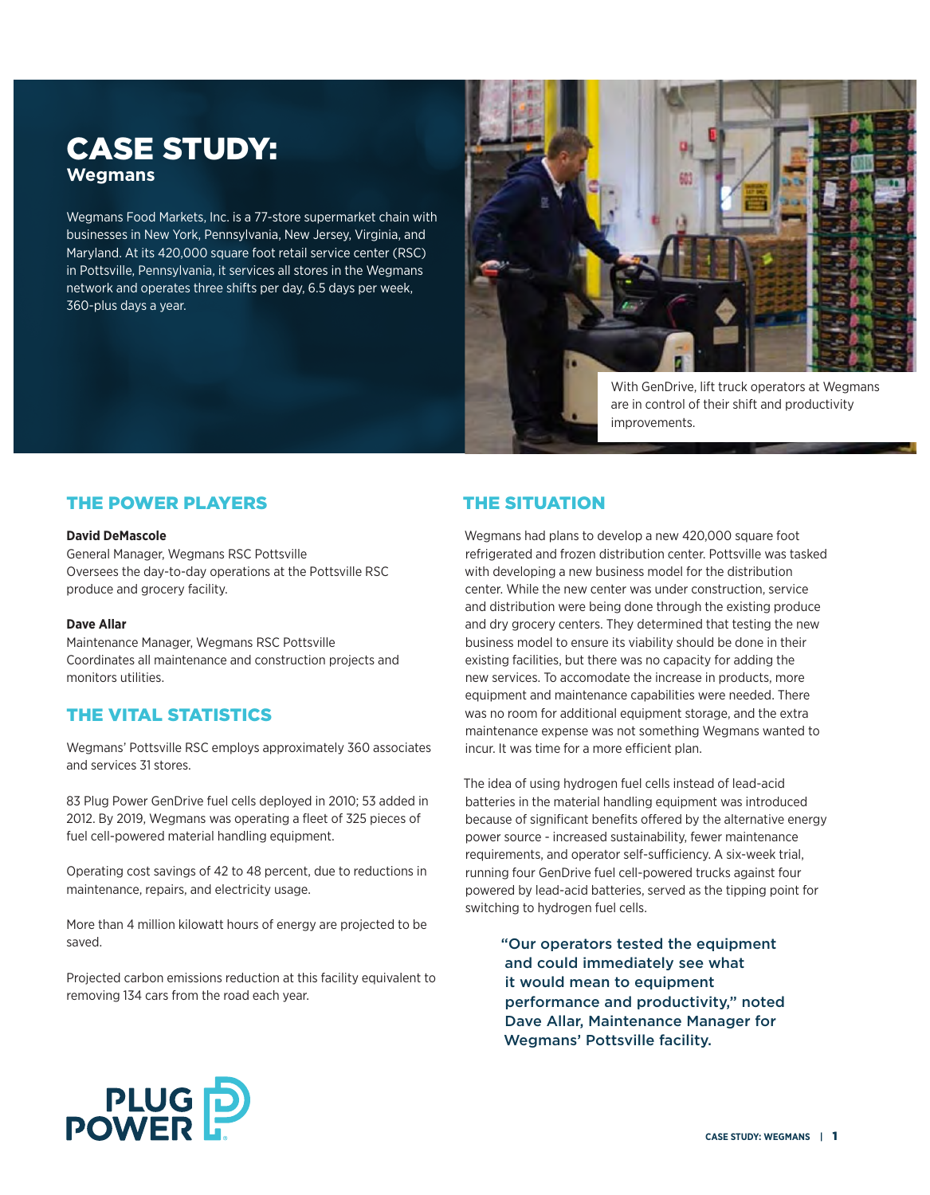# CASE STUDY: **Wegmans**

Wegmans Food Markets, Inc. is a 77-store supermarket chain with businesses in New York, Pennsylvania, New Jersey, Virginia, and Maryland. At its 420,000 square foot retail service center (RSC) in Pottsville, Pennsylvania, it services all stores in the Wegmans network and operates three shifts per day, 6.5 days per week, 360-plus days a year.



With GenDrive, lift truck operators at Wegmans are in control of their shift and productivity improvements.

## THE POWER PLAYERS

#### **David DeMascole**

General Manager, Wegmans RSC Pottsville Oversees the day-to-day operations at the Pottsville RSC produce and grocery facility.

#### **Dave Allar**

Maintenance Manager, Wegmans RSC Pottsville Coordinates all maintenance and construction projects and monitors utilities.

## THE VITAL STATISTICS

Wegmans' Pottsville RSC employs approximately 360 associates and services 31 stores.

83 Plug Power GenDrive fuel cells deployed in 2010; 53 added in 2012. By 2019, Wegmans was operating a fleet of 325 pieces of fuel cell-powered material handling equipment.

Operating cost savings of 42 to 48 percent, due to reductions in maintenance, repairs, and electricity usage.

More than 4 million kilowatt hours of energy are projected to be saved.

Projected carbon emissions reduction at this facility equivalent to removing 134 cars from the road each year.

## THE SITUATION

Wegmans had plans to develop a new 420,000 square foot refrigerated and frozen distribution center. Pottsville was tasked with developing a new business model for the distribution center. While the new center was under construction, service and distribution were being done through the existing produce and dry grocery centers. They determined that testing the new business model to ensure its viability should be done in their existing facilities, but there was no capacity for adding the new services. To accomodate the increase in products, more equipment and maintenance capabilities were needed. There was no room for additional equipment storage, and the extra maintenance expense was not something Wegmans wanted to incur. It was time for a more efficient plan.

The idea of using hydrogen fuel cells instead of lead-acid batteries in the material handling equipment was introduced because of significant benefits offered by the alternative energy power source - increased sustainability, fewer maintenance requirements, and operator self-sufficiency. A six-week trial, running four GenDrive fuel cell-powered trucks against four powered by lead-acid batteries, served as the tipping point for switching to hydrogen fuel cells.

> "Our operators tested the equipment and could immediately see what it would mean to equipment performance and productivity," noted Dave Allar, Maintenance Manager for Wegmans' Pottsville facility.